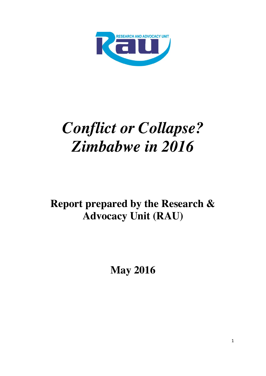

# *Conflict or Collapse? Zimbabwe in 2016*

# **Report prepared by the Research & Advocacy Unit (RAU)**

**May 2016**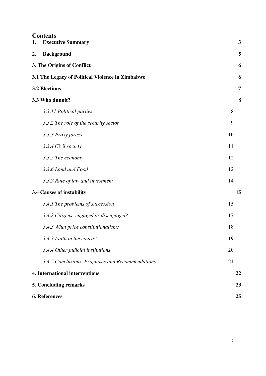| 1. | <b>Contents</b><br><b>Executive Summary</b>      | 3  |
|----|--------------------------------------------------|----|
| 2. | <b>Background</b>                                | 5  |
|    | 3. The Origins of Conflict                       | 6  |
|    | 3.1 The Legacy of Political Violence in Zimbabwe | 6  |
|    | <b>3.2 Elections</b>                             | 7  |
|    | 3.3 Who dunnit?                                  | 8  |
|    | 3.3.11 Political parties                         | 8  |
|    | 3.3.2 The role of the security sector            | 9  |
|    | 3.3.3 Proxy forces                               | 10 |
|    | 3.3.4 Civil society                              | 11 |
|    | 3.3.5 The economy                                | 12 |
|    | 3.3.6 Land and Food                              | 12 |
|    | 3.3.7 Rule of law and investment                 | 14 |
|    | <b>3.4 Causes of instability</b>                 | 15 |
|    | 3.4.1 The problems of succession                 | 15 |
|    | 3.4.2 Citizens: engaged or disengaged?           | 17 |
|    | 3.4.3 What price constitutionalism?              | 18 |
|    | 3.4.3 Faith in the courts?                       | 19 |
|    | 3.4.4 Other judicial institutions                | 20 |
|    | 3.4.5 Conclusions. Prognosis and Recommendations | 21 |
|    | <b>4. International interventions</b>            | 22 |
|    | 5. Concluding remarks                            | 23 |
|    | <b>6. References</b>                             | 25 |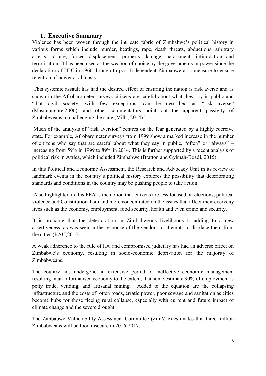#### **1. Executive Summary**

Violence has been woven through the intricate fabric of Zimbabwe's political history in various forms which include murder, beatings, rape, death threats, abductions, arbitrary arrests, torture, forced displacement, property damage, harassment, intimidation and terrorisation. It has been used as the weapon of choice by the governments in power since the declaration of UDI in 1966 through to post Independent Zimbabwe as a measure to ensure retention of power at all costs.

This systemic assault has had the desired effect of ensuring the nation is risk averse and as shown in the Afrobarometer surveys citizens are careful about what they say in public and "that civil society, with few exceptions, can be described as "risk averse" (Masunungure,2006), and other commentators point out the apparent passivity of Zimbabweans in challenging the state (Mills, 2014)."

Much of the analysis of "risk aversion" centres on the fear generated by a highly coercive state. For example, Afrobarometer surveys from 1999 show a marked increase in the number of citizens who say that are careful about what they say in public, "often" or "always" – increasing from 59% in 1999 to 89% in 2014. This is further supported by a recent analysis of political risk in Africa, which included Zimbabwe (Bratton and Gyimah-Boadi, 2015).

In this Political and Economic Assessment, the Research and Advocacy Unit in its review of landmark events in the country's political history explores the possibility that deteriorating standards and conditions in the country may be pushing people to take action.

Also highlighted in this PEA is the notion that citizens are less focused on elections, political violence and Constitutionalism and more concentrated on the issues that affect their everyday lives such as the economy, employment, food security, health and even crime and security.

It is probable that the deterioration in Zimbabweans livelihoods is adding to a new assertiveness, as was seen in the response of the vendors to attempts to displace them from the cities (RAU,2015).

A weak adherence to the rule of law and compromised judiciary has had an adverse effect on Zimbabwe's economy, resulting in socio-economic deprivation for the majority of Zimbabweans.

The country has undergone an extensive period of ineffective economic management resulting in an informalised economy to the extent, that some estimate 90% of employment is petty trade, vending, and artisanal mining. Added to the equation are the collapsing infrastructure and the costs of rotten roads, erratic power, poor sewage and sanitation as cities become hubs for those fleeing rural collapse, especially with current and future impact of climate change and the severe drought.

The Zimbabwe Vulnerability Assessment Committee (ZimVac) estimates that three million Zimbabweans will be food insecure in 2016-2017.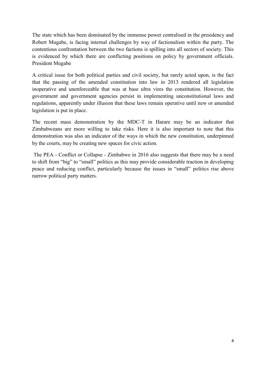The state which has been dominated by the immense power centralised in the presidency and Robert Mugabe, is facing internal challenges by way of factionalism within the party. The contentious confrontation between the two factions is spilling into all sectors of society. This is evidenced by which there are conflicting positions on policy by government officials. President Mugabe

A critical issue for both political parties and civil society, but rarely acted upon, is the fact that the passing of the amended constitution into law in 2013 rendered all legislation inoperative and unenforceable that was at base ultra vires the constitution. However, the government and government agencies persist in implementing unconstitutional laws and regulations, apparently under illusion that these laws remain operative until new or amended legislation is put in place.

The recent mass demonstration by the MDC-T in Harare may be an indicator that Zimbabweans are more willing to take risks. Here it is also important to note that this demonstration was also an indicator of the ways in which the new constitution, underpinned by the courts, may be creating new spaces for civic action.

The PEA - Conflict or Collapse - Zimbabwe in 2016 also suggests that there may be a need to shift from "big" to "small" politics as this may provide considerable traction in developing peace and reducing conflict, particularly because the issues in "small" politics rise above narrow political party matters.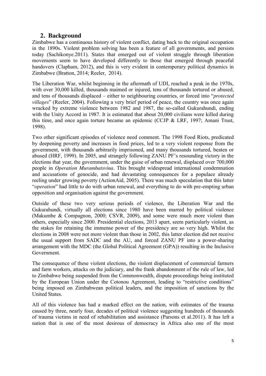## **2. Background**

Zimbabwe has a continuous history of violent conflict, dating back to the original occupation in the 1890s. Violent problem solving has been a feature of all governments, and persists today (Sachikonye.2011). States that emerged out of violent struggle through liberation movements seem to have developed differently to those that emerged through peaceful handovers (Clapham, 2012), and this is very evident in contemporary political dynamics in Zimbabwe (Bratton, 2014; Reeler, 2014).

The Liberation War, whilst beginning in the aftermath of UDI, reached a peak in the 1970s, with over 30,000 killed, thousands maimed or injured, tens of thousands tortured or abused, and tens of thousands displaced – either to neighbouring countries, or forced into "*protected villages*" (Reeler, 2004). Following a very brief period of peace, the country was once again wracked by extreme violence between 1982 and 1987, the so-called Gukurahundi, ending with the Unity Accord in 1987. It is estimated that about 20,000 civilians were killed during this time, and once again torture became an epidemic (CCJP & LRF, 1997; Amani Trust, 1998).

Two other significant episodes of violence need comment. The 1998 Food Riots, predicated by deepening poverty and increases in food prices, led to a very violent response from the government, with thousands arbitrarily imprisoned, and many thousands tortured, beaten or abused (HRF, 1999). In 2005, and strangely following ZANU PF's resounding victory in the elections that year, the government, under the guise of urban renewal, displaced over 700,000 people in *Operation Murambatsvina*. This brought widespread international condemnation and accusations of genocide, and had devastating consequences for a populace already reeling under growing poverty (ActionAid, 2005). There was much speculation that this latter "*operation*" had little to do with urban renewal, and everything to do with pre-empting urban opposition and organisation against the government.

Outside of these two very serious periods of violence, the Liberation War and the Gukurahundi, virtually all elections since 1980 have been marred by political violence (Makumbe & Compagnon, 2000; CSVR, 2009), and some were much more violent than others, especially since 2000. Presidential elections, 2013 apart, seem particularly violent, as the stakes for retaining the immense power of the presidency are so very high. Whilst the elections in 2008 were not more violent than those in 2002, this latter election did not receive the usual support from SADC and the AU, and forced ZANU PF into a power-sharing arrangement with the MDC (the Global Political Agreement (GPA)) resulting in the Inclusive Government.

The consequence of these violent elections, the violent displacement of commercial farmers and farm workers, attacks on the judiciary, and the frank abandonment of the rule of law, led to Zimbabwe being suspended from the Commonwealth, dispute proceedings being instituted by the European Union under the Cotonou Agreement, leading to "restrictive conditions" being imposed on Zimbabwean political leaders, and the imposition of sanctions by the United States.

All of this violence has had a marked effect on the nation, with estimates of the trauma caused by three, nearly four, decades of political violence suggesting hundreds of thousands of trauma victims in need of rehabilitation and assistance (Parsons et al.2011). It has left a nation that is one of the most desirous of democracy in Africa also one of the most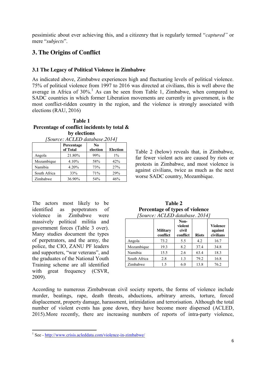pessimistic about ever achieving this, and a citizenry that is regularly termed "*captured*" or mere "subjects".

# **3. The Origins of Conflict**

#### **3.1 The Legacy of Political Violence in Zimbabwe**

As indicated above, Zimbabwe experiences high and fluctuating levels of political violence. 75% of political violence from 1997 to 2016 was directed at civilians, this is well above the average in Africa of  $30\%$ <sup>1</sup>. As can be seen from Table 1, Zimbabwe, when compared to SADC countries in which former Liberation movements are currently in government, is the most conflict-ridden country in the region, and the violence is strongly associated with elections (RAU, 2016)

#### **Table 1 Percentage of conflict incidents by total & by elections**

*[Source: ACLED database.2014]*

|              | Percentage<br>of Total | N <sub>0</sub><br>election | <b>Election</b> |
|--------------|------------------------|----------------------------|-----------------|
| Angola       | 21.80%                 | 99%                        | $1\%$           |
| Mozambique   | 4.10%                  | 58%                        | 42%             |
| Namibia      | 4.20%                  | 73%                        | 27%             |
| South Africa | 33%                    | 71%                        | 29%             |
| Zimbabwe     | 36.90%                 | 54%                        | 46%             |

The actors most likely to be identified as perpetrators of violence in Zimbabwe were massively political militia and government forces (Table 3 over). Many studies document the types of perpetrators, and the army, the police, the CIO, ZANU PF leaders and supporters, "war veterans", and the graduates of the National Youth Training scheme are all identified with great frequency (CSVR, 2009).

Table 2 (below) reveals that, in Zimbabwe, far fewer violent acts are caused by riots or protests in Zimbabwe, and most violence is against civilians, twice as much as the next worse SADC country, Mozambique.

| Percentage of types of violence |                 |          |              |         |  |  |  |
|---------------------------------|-----------------|----------|--------------|---------|--|--|--|
| [Source: ACLED database. 2014]  |                 |          |              |         |  |  |  |
|                                 |                 | Non-     |              |         |  |  |  |
|                                 |                 | violent  |              | Violer  |  |  |  |
|                                 | <b>Military</b> | civil    |              | agair   |  |  |  |
|                                 | conflict        | conflict | <b>Riots</b> | civilia |  |  |  |

**Table 2**

|              | <b>Military</b><br>conflict | violent<br>civil<br>conflict | <b>Riots</b> | <b>Violence</b><br>against<br>civilians |
|--------------|-----------------------------|------------------------------|--------------|-----------------------------------------|
| Angola       | 73.2                        | 5.5                          | 4.2          | 16.7                                    |
| Mozambique   | 19.3                        | 8.2                          | 37.4         | 34.8                                    |
| Namibia      | 15.5                        | 2.6                          | 63.4         | 18.3                                    |
| South Africa | 2.8                         | 1.3                          | 79.2         | 16.8                                    |
| Zimbabwe     | 1.5                         | 6.0                          | 13.8         | 76.2                                    |

According to numerous Zimbabwean civil society reports, the forms of violence include murder, beatings, rape, death threats, abductions, arbitrary arrests, torture, forced displacement, property damage, harassment, intimidation and terrorisation. Although the total number of violent events has gone down, they have become more dispersed (ACLED, 2015).More recently, there are increasing numbers of reports of intra-party violence,

<sup>1</sup> See - http://www.crisis.acleddata.com/violence-in-zimbabwe/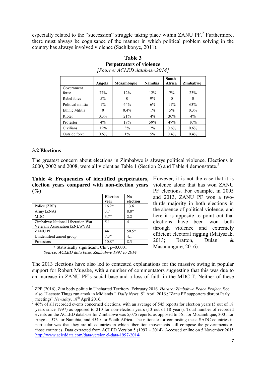especially related to the "succession" struggle taking place within ZANU PF.<sup>2</sup> Furthermore, there must always be cognisance of the manner in which political problem solving in the country has always involved violence (Sachikonye, 2011).

|                   | Angola  | Mozambique | <b>Namibia</b> | <b>South</b><br>Africa | <b>Zimbabwe</b> |
|-------------------|---------|------------|----------------|------------------------|-----------------|
| Government        |         |            |                |                        |                 |
| force             | 77%     | 12%        | 12%            | $7\%$                  | 23%             |
| Rebel force       | $5\%$   | $_{0}$     | 9%             | $\Omega$               | $\theta$        |
| Political militia | $1\%$   | 44%        | 6%             | $11\%$                 | 63%             |
| Ethnic Militia    | 0       | 0.4%       | $1\%$          | $5\%$                  | $0.3\%$         |
| Rioter            | $0.3\%$ | 21%        | 4%             | 30%                    | 4%              |
| Protestor         | $4\%$   | 18%        | 59%            | 47%                    | 10%             |
| Civilians         | 12%     | 3%         | 2%             | $0.6\%$                | $0.6\%$         |
| Outside force     | $0.6\%$ | $1\%$      | $5\%$          | $0.4\%$                | 0.4%            |

**Table 3 Perpetrators of violence** *[Source: ACLED database.2014]*

#### **3.2 Elections**

The greatest concern about elections in Zimbabwe is always political violence. Elections in 2000, 2002 and 2008, were all violent as Table 1 (Section 2) and Table 4 demonstrate.<sup>3</sup>

**Table 4: Frequencies of identified perpetrators,**  However, it is not the case that it is **election years compared with non-election years**  violence alone that has won ZANU **(%)**

|                                                                   | <b>Election</b><br>vear | N <sub>0</sub><br>election |
|-------------------------------------------------------------------|-------------------------|----------------------------|
| Police (ZRP)                                                      | $16.2*$                 | 13.6                       |
| Army (ZNA)                                                        | 3.7                     | $8.8*$                     |
| <b>MDC</b>                                                        | $3.7*$                  | 2.2                        |
| Zimbabwe National Liberation War<br>Veterans Association (ZNLWVA) | 5.1                     | 4                          |
| <b>ZANUPF</b>                                                     | 44                      | $50.5*$                    |
| Unidentified armed group                                          | $7.3*$                  | 4.1                        |
| Protestors                                                        | $10.8*$                 | 8.3                        |

*\** Statistically significant; Chi², p=0.0001 *Source: ACLED data base, Zimbabwe 1997 to 2014* PF elections. For example, in 2005 and 2013, ZANU PF won a twothirds majority in both elections in the absence of political violence, and here it is apposite to point out that elections have been won both through violence and extremely efficient electoral rigging (Matyszak, 2013; Bratton, Dulani & Masunungure, 2016).

The 2013 elections have also led to contested explanations for the massive swing in popular support for Robert Mugabe, with a number of commentators suggesting that this was due to an increase in ZANU PF's social base and a loss of faith in the MDC-T. Neither of these

<sup>2</sup> ZPP (2016), Zim body politic in Uncharted Territory*.* February 2016. *Harare: Zimbabwe Peace Project.* See also <sup>"</sup>Lacoste Thugs run amok in Midlands". *Daily News*. 5<sup>th</sup> April 2016.; "Zanu PF supporters disrupt Parly meetings".*Newsday*. 18<sup>th</sup> April 2016.

<sup>&</sup>lt;sup>3</sup> 46% of all recorded events concerned elections, with an average of 545 reports for election years (5 out of 18 years since 1997) as opposed to 210 for non-election years (13 out of 18 years). Total number of recorded events on the ACLED database for Zimbabwe was 5,075 reports, as opposed to 561 for Mozambique, 3001 for Angola, 573 for Namibia, and 4540 for South Africa. The rationale for contrasting these SADC countries in particular was that they are all countries in which liberation movements still compose the governments of those countries. Data extracted from ACLED Version 5 (1997 – 2014). Accessed online on 5 November 2015 http://www.acleddata.com/data/version-5-data-1997-2014/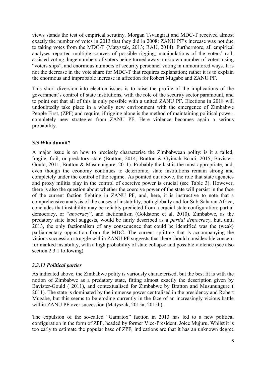views stands the test of empirical scrutiny. Morgan Tsvangirai and MDC-T received almost exactly the number of votes in 2013 that they did in 2008: ZANU PF's increase was not due to taking votes from the MDC-T (Matyszak, 2013; RAU, 2014). Furthermore, all empirical analyses reported multiple sources of possible rigging; manipulations of the voters' roll, assisted voting, huge numbers of voters being turned away, unknown number of voters using "voters slips", and enormous numbers of security personnel voting in unmonitored ways. It is not the decrease in the vote share for MDC-T that requires explanation; rather it is to explain the enormous and improbable increase in affection for Robert Mugabe and ZANU PF.

This short diversion into election issues is to raise the profile of the implications of the government's control of state institutions, with the role of the security sector paramount, and to point out that all of this is only possible with a united ZANU PF. Elections in 2018 will undoubtedly take place in a wholly new environment with the emergence of Zimbabwe People First, (ZPF) and require, if rigging alone is the method of maintaining political power, completely new strategies from ZANU PF. Here violence becomes again a serious probability.

#### **3.3 Who dunnit?**

A major issue is on how to precisely characterise the Zimbabwean polity: is it a failed, fragile, frail, or predatory state (Bratton, 2014; Bratton & Gyimah-Boadi, 2015; Bavister-Gould, 2011; Bratton & Masunungure, 2011). Probably the last is the most appropriate, and, even though the economy continues to deteriorate, state institutions remain strong and completely under the control of the regime. As pointed out above, the role that state agencies and proxy militia play in the control of coercive power is crucial (see Table 3). However, there is also the question about whether the coercive power of the state will persist in the face of the current faction fighting in ZANU PF, and, here, it is instructive to note that a comprehensive analysis of the causes of instability, both globally and for Sub-Saharan Africa, concludes that instability may be reliably predicted from a crucial state configuration: partial democracy, or "*anocracy*", and factionalism (Goldstone et al, 2010). Zimbabwe, as the predatory state label suggests, would be fairly described as a *partial democracy*, but, until 2013, the only factionalism of any consequence that could be identified was the (weak) parliamentary opposition from the MDC. The current splitting that is accompanying the vicious succession struggle within ZANU PF suggests that there should considerable concern for marked instability, with a high probability of state collapse and possible violence (see also section 2.3.1 following).

#### *3.3.11 Political parties*

As indicated above, the Zimbabwe polity is variously characterised, but the best fit is with the notion of Zimbabwe as a predatory state, fitting almost exactly the description given by Bavister-Gould ( 2011), and contextualised for Zimbabwe by Bratton and Musunungure ( 2011). The state is dominated by the immense power centralised in the presidency and Robert Mugabe, but this seems to be eroding currently in the face of an increasingly vicious battle within ZANU PF over succession (Matyszak, 2015a; 2015b).

The expulsion of the so-called "Gamatox" faction in 2013 has led to a new political configuration in the form of ZPF, headed by former Vice-President, Joice Mujuru. Whilst it is too early to estimate the popular base of ZPF, indications are that it has an unknown degree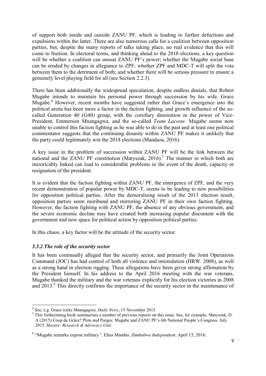of support both inside and outside ZANU PF, which is leading to further defections and expulsions within the latter. There are also numerous calls for a coalition between opposition parties, but, despite the many reports of talks taking place, no real evidence that this will come to fruition. In electoral terms, and thinking ahead to the 2018 elections, a key question will be whether a coalition can unseat ZANU PF's power; whether the Mugabe social base can be eroded by changes in allegiance to ZPF; whether ZPF and MDC-T will split the vote between them to the detriment of both; and whether there will be serious pressure to ensure a genuinely level playing field for all (see Section 2.2.3).

There has been additionally the widespread speculation, despite endless denials, that Robert Mugabe intends to maintain his personal power through succession by his wife, Grace Mugabe.<sup>4</sup> However, recent months have suggested rather that Grace's emergence into the political arena has been more a factor in the faction fighting, and growth influence of the socalled Generation 40 (G40*)* group, with the corollary diminution in the power of Vice-President, Emmerson Mnangagwa, and the so-called *Team Lacoste*. Mugabe seems now unable to control this faction fighting as he was able to do in the past and at least one political commentator suggests that the continuing disunity within ZANU PF makes it unlikely that the party could legitimately win the 2018 elections (Mandaza, 2016).

A key issue in the problem of succession within ZANU PF will be the link between the national and the ZANU PF constitution (Matyszak,  $2016$ ).<sup>5</sup> The manner in which both are inextricably linked can lead to considerable problems in the event of the death, capacity or resignation of the president.

It is evident that the faction fighting within ZANU PF, the emergence of ZPF, and the very recent demonstration of popular power by MDC-T, seems to be leading to new possibilities for opposition political parties. After the demoralising result of the 2013 election result, opposition parties seem moribund and mirroring ZANU PF in their own faction fighting. However, the faction fighting with ZANU PF, the absence of any obvious government, and the severe economic decline may have created both increasing popular discontent with the government and new space for political action by opposition political parties.

In this chaos, a key factor will be the attitude of the security sector.

#### *3.3.2 The role of the security sector*

It has been continually alleged that the security sector, and primarily the Joint Operations Command (JOC) has had control of both all violence and intimidation (HRW. 2008), as well as a strong hand in election rigging. These allegations have been given strong affirmation by the President himself. In his address to the April 2016 meeting with the war veterans, Mugabe thanked the military and the war veterans explicitly for his election victories in 2008 and  $2013<sup>6</sup>$ . This directly confirms the importance of the security sector in the maintenance of

<sup>&</sup>lt;sup>4</sup> See, e.g. Grace rocks Mnangagwa. *Daily News*, 15 November 2015.<br><sup>5</sup> This forthcoming book summarises a number of previous reports on this issue. See, for example, Matyszak, D. A (2015).Coup de Grâce? Plots and Purges: Mugabe and ZANU PF's 6th National People's Congress. July 2015. *Harare: Research & Advocacy Unit*.

<sup>6</sup> ―Mugabe remarks expose military*‖.* Elias Mambo. *Zimbabwe Independent.* April 15, 2016.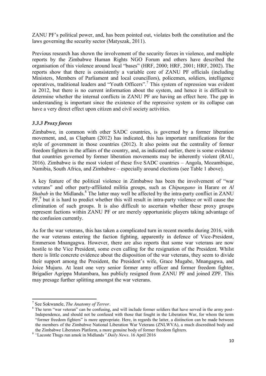ZANU PF's political power, and, has been pointed out, violates both the constitution and the laws governing the security sector (Matyszak, 2011).

Previous research has shown the involvement of the security forces in violence, and multiple reports by the Zimbabwe Human Rights NGO Forum and others have described the organisation of this violence around local "bases" (HRF, 2000; HRF, 2001; HRF, 2002). The reports show that there is consistently a variable core of ZANU PF officials (including Ministers, Members of Parliament and local councillors), policemen, soldiers, intelligence operatives, traditional leaders and "Youth Officers".<sup>7</sup> This system of repression was evident in 2012, but there is no current information about the system, and hence it is difficult to determine whether the internal conflicts in ZANU PF are having an effect here. The gap in understanding is important since the existence of the repressive system or its collapse can have a very direct effect upon citizen and civil society activities.

#### *3.3.3 Proxy forces*

Zimbabwe, in common with other SADC countries, is governed by a former liberation movement, and, as Clapham (2012) has indicated, this has important ramifications for the style of government in those countries (2012). It also points out the centrality of former freedom fighters in the affairs of the country, and, as indicated earlier, there is some evidence that countries governed by former liberation movements may be inherently violent (RAU, 2016). Zimbabwe is the most violent of these five SADC countries – Angola, Mozambique, Namibia, South Africa, and Zimbabwe – especially around elections (see Table 1 above).

A key feature of the political violence in Zimbabwe has been the involvement of "war veterans" and other party-affiliated militia groups, such as *Chipangano* in Harare or *Al Shabab* in the Midlands.<sup>8</sup> The latter may well be affected by the intra-party conflict in ZANU PF,<sup>9</sup> but it is hard to predict whether this will result in intra-party violence or will cause the elimination of such groups. It is also difficult to ascertain whether these proxy groups represent factions within ZANU PF or are merely opportunistic players taking advantage of the confusion currently.

As for the war veterans, this has taken a complicated turn in recent months during 2016, with the war veterans entering the faction fighting, apparently in defence of Vice-President, Emmerson Mnangagwa. However, there are also reports that some war veterans are now hostile to the Vice President, some even calling for the resignation of the President. Whilst there is little concrete evidence about the disposition of the war veterans, they seem to divide their support among the President, the President's wife, Grace Mugabe, Mnangagwa, and Joice Mujuru. At least one very senior former army officer and former freedom fighter, Brigadier Agrippa Mutambara, has publicly resigned from ZANU PF and joined ZPF. This may presage further splitting amongst the war veterans.

<sup>&</sup>lt;sup>7</sup> See Sokwanele, *The Anatomy of Terror*.<br><sup>8</sup> The term "war veteran" can be confusing, and will include former soldiers that have served in the army post-Independence, and should not be confused with those that fought in the Liberation War, for whom the term ―former freedom fighters‖ is more appropriate. Here, in regards the latter, a distinction can be made between the members of the Zimbabwe National Liberation War Veterans (ZNLWVA), a much discredited body and the Zimbabwe Liberators Platform, a more genuine body of former freedom fighters.

<sup>&</sup>lt;sup>9</sup> "Lacoste Thugs run amok in Midlands*" Daily News*. 16 April 2016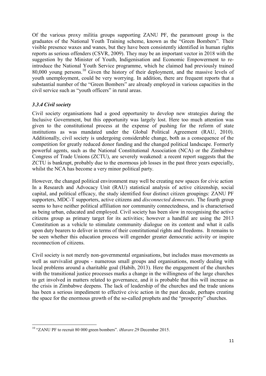Of the various proxy militia groups supporting ZANU PF, the paramount group is the graduates of the National Youth Training scheme, known as the "Green Bombers". Their visible presence waxes and wanes, but they have been consistently identified in human rights reports as serious offenders (CSVR, 2009). They may be an important vector in 2018 with the suggestion by the Minister of Youth, Indigenisation and Economic Empowerment to reintroduce the National Youth Service programme, which he claimed had previously trained 80,000 young persons. <sup>10</sup> Given the history of their deployment, and the massive levels of youth unemployment, could be very worrying. In addition, there are frequent reports that a substantial number of the "Green Bombers" are already employed in various capacities in the civil service such as "youth officers" in rural areas.

#### *3.3.4 Civil society*

Civil society organisations had a good opportunity to develop new strategies during the Inclusive Government, but this opportunity was largely lost. Here too much attention was given to the constitutional process at the expense of pushing for the reform of state institutions as was mandated under the Global Political Agreement (RAU, 2010). Additionally, civil society is undergoing considerable change, both as a consequence of the competition for greatly reduced donor funding and the changed political landscape. Formerly powerful agents, such as the National Constitutional Association (NCA) or the Zimbabwe Congress of Trade Unions (ZCTU), are severely weakened: a recent report suggests that the ZCTU is bankrupt, probably due to the enormous job losses in the past three years especially, whilst the NCA has become a very minor political party.

However, the changed political environment may well be creating new spaces for civic action In a Research and Advocacy Unit (RAU) statistical analysis of active citizenship, social capital, and political efficacy, the study identified four distinct citizen groupings: ZANU PF supporters, MDC-T supporters, active citizens and *disconnected democrats*. The fourth group seems to have neither political affiliation nor community connectedness, and is characterised as being urban, educated and employed. Civil society has been slow in recognising the active citizens group as primary target for its activities; however a handful are using the 2013 Constitution as a vehicle to stimulate community dialogue on its content and what it calls upon duty bearers to deliver in terms of their constitutional rights and freedoms. It remains to be seen whether this education process will engender greater democratic activity or inspire reconnection of citizens.

Civil society is not merely non-governmental organisations, but includes mass movements as well as survivalist groups - numerous small groups and organisations, mostly dealing with local problems around a charitable goal (Habib, 2013). Here the engagement of the churches with the transitional justice processes marks a change in the willingness of the large churches to get involved in matters related to governance, and it is probable that this will increase as the crisis in Zimbabwe deepens. The lack of leadership of the churches and the trade unions has been a serious impediment to effective civic action in the past decade, perhaps creating the space for the enormous growth of the so-called prophets and the "prosperity" churches.

<sup>&</sup>lt;sup>10</sup> "ZANU PF to recruit 80 000 green bombers". *iHarare*.29 December 2015.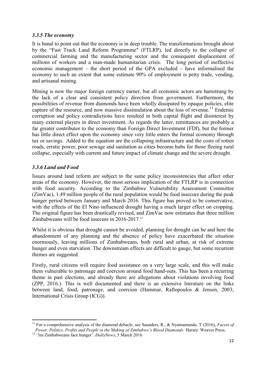#### *3.3.5 The economy*

It is banal to point out that the economy is in deep trouble. The transformations brought about by the "Fast Track Land Reform Programme" (FTLRP), led directly to the collapse of commercial farming and the manufacturing sector and the consequent displacement of millions of workers and a man-made humanitarian crisis. The long period of ineffective economic management – the short period of the GPA excluded – have informalised the economy to such an extent that some estimate 90% of employment is petty trade, vending, and artisanal mining.

Mining is now the major foreign currency earner, but all economic actors are hamstrung by the lack of a clear and consistent policy direction from government. Furthermore, the possibilities of revenue from diamonds have been wholly dissipated by opaque policies, elite capture of the resource, and now massive dissimulation about the loss of revenue.<sup>11</sup> Endemic corruption and policy contradictions have resulted in both capital flight and disinterest by many external players in direct investment. As regards the latter, remittances are probably a far greater contributor to the economy than Foreign Direct Investment (FDI), but the former has little direct effect upon the economy since very little enters the formal economy through tax or savings. Added to the equation are the collapsing infrastructure and the costs of rotten roads, erratic power, poor sewage and sanitation as cities become hubs for those fleeing rural collapse, especially with current and future impact of climate change and the severe drought.

#### *3.3.6 Land and Food*

Issues around land reform are subject to the same policy inconsistencies that affect other areas of the economy. However, the most serious implication of the FTLRP is in connection with food security. According to the Zimbabwe Vulnerability Assessment Committee (ZimVac), 1.49 million people of the rural population would be food insecure during the peak hunger period between January and March 2016. This figure has proved to be conservative, with the effects of the El Nino influenced drought having a much larger effect on cropping. The original figure has been drastically revised, and ZimVac now estimates that three million Zimbabweans will be food insecure in 2016-2017.<sup>12</sup>

Whilst it is obvious that drought cannot be avoided, planning for drought can be and here the abandonment of any planning and the absence of policy have exacerbated the situation enormously, leaving millions of Zimbabweans, both rural and urban, at risk of extreme hunger and even starvation. The downstream effects are difficult to gauge, but some recurrent themes are suggested.

Firstly, rural citizens will require food assistance on a very large scale, and this will make them vulnerable to patronage and coercion around food hand-outs. This has been a recurring theme in past elections, and already there are allegations about violations involving food (ZPP, 2016.). This is well documented and there is an extensive literature on the links between land, food, patronage, and coercion (Hammar, Raftopoulos & Jensen, 2003; International Crisis Group (ICG)).

<sup>&</sup>lt;sup>11</sup> For a comprehensive analysis of the diamond debacle, see Saunders, R., & Nyamamunda. T (2016), *Facets of Power. Politics, Profits and People in the Making of Zimbabwe's Blood Diamonds. Harare: Weaver Press.*  $^{12}$  <sup>12</sup> <sup>13</sup> m Zimbabweans face hunger'*. DailyNews*, 5 March 2016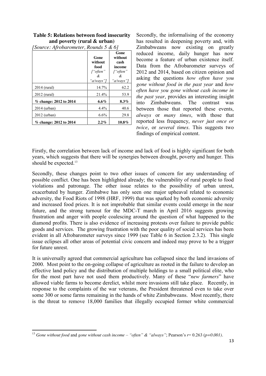| <b>Table 5: Relations between food insecurity</b> |
|---------------------------------------------------|
| and poverty (rural $\&$ urban)                    |

|                        | Gone<br>without<br>food<br>f"often"<br>&<br>"a/ways"] | Gone<br>without<br>cash<br>income<br>f"often"<br>&<br>"a/ways"] |
|------------------------|-------------------------------------------------------|-----------------------------------------------------------------|
| 2014 (rural)           | 14.7%                                                 | 62.2                                                            |
| 2012 (rural)           | 21.4%                                                 | 53.9                                                            |
| % change: 2012 to 2014 | $6.6\%$                                               | $8.3\%$                                                         |
| 2014 (urban)           | 4.4%                                                  | 40.6                                                            |
| 2012 (urban)           | 6.6%                                                  | 29.8                                                            |
| % change: 2012 to 2014 | 2.2%                                                  | $10.8\%$                                                        |

*[Source: Afrobarometer, Rounds 5 & 6]*

Secondly, the informalising of the economy has resulted in deepening poverty and, with Zimbabweans now existing on greatly reduced income, daily hunger has now become a feature of urban existence itself. Data from the Afrobarometer surveys of 2012 and 2014, based on citizen opinion and asking the questions *how often have you gone without food in the past year* and *how often have you gone without cash income in the past year*, provides an interesting insight into Zimbabweans. The contrast was between those that reported these events, *always* or *many times*, with those that reported less frequency, *never just once or twice*, or *several times*. This suggests two findings of empirical content.

Firstly, the correlation between lack of income and lack of food is highly significant for both years, which suggests that there will be synergies between drought, poverty and hunger. This should be expected.<sup>13</sup>

Secondly, these changes point to two other issues of concern for any understanding of possible conflict. One has been highlighted already; the vulnerability of rural people to food violations and patronage. The other issue relates to the possibility of urban unrest, exacerbated by hunger. Zimbabwe has only seen one major upheaval related to economic adversity, the Food Riots of 1998 (HRF, 1999) that was sparked by both economic adversity and increased food prices. It is not improbable that similar events could emerge in the near future, and the strong turnout for the MDC-T march in April 2016 suggests growing frustration and anger with people coalescing around the question of what happened to the diamond profits. There is also evidence of increasing protests over failure to provide public goods and services. The growing frustration with the poor quality of social services has been evident in all Afrobarometer surveys since 1999 (see Table 6 in Section 2.3.2). This single issue eclipses all other areas of potential civic concern and indeed may prove to be a trigger for future unrest.

It is universally agreed that commercial agriculture has collapsed since the land invasions of 2000. Most point to the on-going collapse of agriculture as rooted in the failure to develop an effective land policy and the distribution of multiple holdings to a small political elite, who for the most part have not used them productively. Many of these "*new farmers*" have allowed viable farms to become derelict, whilst more invasions still take place. Recently, in response to the complaints of the war veterans, the President threatened even to take over some 300 or some farms remaining in the hands of white Zimbabweans. Most recently, there is the threat to remove 18,000 families that illegally occupied former white commercial

<sup>&</sup>lt;sup>13</sup> *Gone without food and gone without cash income* – "*often*" & "*always*"; Pearson's  $r = 0.263$  ( $p=0.001$ ).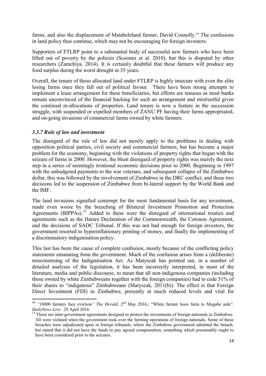farms, and also the displacement of Matabeleland farmer, David Connolly.<sup>14</sup> The confusions in land policy thus continue, which may not be encouraging for foreign investors.

Supporters of FTLRP point to a substantial body of successful new farmers who have been lifted out of poverty by the policies (Scoones et al. 2010), but this is disputed by other researchers (Zamchiya. 2014). It is certainly doubtful that these farmers will produce any food surplus during the worst drought in 35 years.

Overall, the tenure of those allocated land under FTLRP is highly insecure with even the elite losing farms once they fall out of political favour. There have been strong attempts to implement a lease arrangement for these beneficiaries, but efforts are tenuous as most banks remain unconvinced of the financial backing for such an arrangement and mistrustful given the continual re-allocations of properties. Land tenure is now a feature in the succession struggle, with suspended or expelled members of ZANU PF having their farms appropriated, and on-going invasions of commercial farms owned by white farmers.

#### *3.3.7 Rule of law and investment*

The disregard of the rule of law did not merely apply to the problems in dealing with opposition political parties, civil society and commercial farmers, but has become a major problem for the economy, beginning with the violations of property rights that began with the seizure of farms in 2000. However, the blunt disregard of property rights was merely the next step in a series of seemingly irrational economic decisions prior to 2000. Beginning in 1997 with the unbudgeted payments to the war veterans, and subsequent collapse of the Zimbabwe dollar, this was followed by the involvement of Zimbabwe in the DRC conflict, and these two decisions led to the suspension of Zimbabwe from bi-lateral support by the World Bank and the IMF.

The land invasions signalled contempt for the most fundamental basis for any investment, made even worse by the breaching of Bilateral Investment Promotion and Protection Agreements (BIPPAs).<sup>15</sup> Added to these were the disregard of international treaties and agreements such as the Harare Declaration of the Commonwealth, the Cotonou Agreement, and the decisions of SADC Tribunal. If this was not bad enough for foreign investors, the government resorted to hyperinflationary printing of money, and finally the implementing of a discriminatory indigenisation policy.

This last has been the cause of complete confusion, mostly because of the conflicting policy statements emanating from the government. Much of the confusion arises from a (deliberate) misconstruing of the Indigenisation Act. As Matyszak has pointed out, in a number of detailed analyses of the legislation, it has been incorrectly interpreted, in most of the literature, media and public discourse, to mean that all non-indigenous companies (including those owned by white Zimbabweans together with the foreign companies) had to cede 51% of their shares to "indigenous" Zimbabweans (Matyszak, 2011(b)). The effect is that Foreign Direct Investment (FDI) in Zimbabwe, presently at much reduced levels and vital for

<sup>&</sup>lt;sup>14</sup> "18000 farmers face eviction*" The Herald*, 2<sup>nd</sup> May 2016.; "White farmer loses farm to Mugabe aide". *DailyNews Live* . 29 April 2016.

<sup>&</sup>lt;sup>15</sup> These are inter-government agreements designed to protect the investments of foreign nationals in Zimbabwe. All were violated when the government took over the farming operations of foreign nationals. Some of these breaches were adjudicated upon in foreign tribunals, where the Zimbabwe government admitted the breach, but stated that it did not have the funds to pay agreed compensation, something which presumably ought to have been considered prior to the seizures.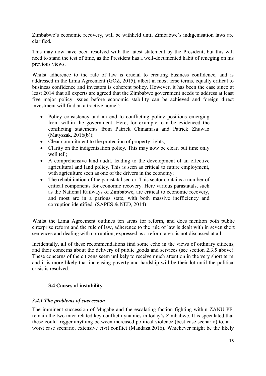Zimbabwe's economic recovery, will be withheld until Zimbabwe's indigenisation laws are clarified.

This may now have been resolved with the latest statement by the President, but this will need to stand the test of time, as the President has a well-documented habit of reneging on his previous views.

Whilst adherence to the rule of law is crucial to creating business confidence, and is addressed in the Lima Agreement (GOZ, 2015), albeit in most terse terms, equally critical to business confidence and investors is coherent policy. However, it has been the case since at least 2014 that all experts are agreed that the Zimbabwe government needs to address at least five major policy issues before economic stability can be achieved and foreign direct investment will find an attractive home":

- Policy consistency and an end to conflicting policy positions emerging from within the government. Here, for example, can be evidenced the conflicting statements from Patrick Chinamasa and Patrick Zhuwao (Matyszak, 2016(b));
- Clear commitment to the protection of property rights;
- Clarity on the indigenisation policy. This may now be clear, but time only well tell:
- x A comprehensive land audit, leading to the development of an effective agricultural and land policy. This is seen as critical to future employment, with agriculture seen as one of the drivers in the economy;
- The rehabilitation of the parastatal sector. This sector contains a number of critical components for economic recovery. Here various parastatals, such as the National Railways of Zimbabwe, are critical to economic recovery, and most are in a parlous state, with both massive inefficiency and corruption identified. (SAPES & NED, 2014)

Whilst the Lima Agreement outlines ten areas for reform, and does mention both public enterprise reform and the rule of law, adherence to the rule of law is dealt with in seven short sentences and dealing with corruption, expressed as a reform area, is not discussed at all.

Incidentally, all of these recommendations find some echo in the views of ordinary citizens, and their concerns about the delivery of public goods and services (see section 2.3.5 above). These concerns of the citizens seem unlikely to receive much attention in the very short term, and it is more likely that increasing poverty and hardship will be their lot until the political crisis is resolved.

### **3.4 Causes of instability**

### *3.4.1 The problems of succession*

The imminent succession of Mugabe and the escalating faction fighting within ZANU PF, remain the two inter-related key conflict dynamics in today's Zimbabwe. It is speculated that these could trigger anything between increased political violence (best case scenario) to, at a worst case scenario, extensive civil conflict (Mandaza.2016). Whichever might be the likely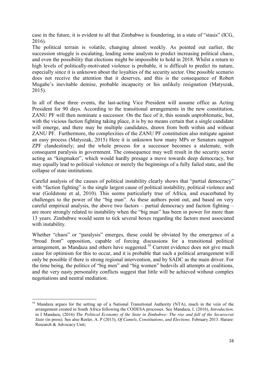case in the future, it is evident to all that Zimbabwe is foundering, in a state of "stasis" ( $ICG$ , 2016).

The political terrain is volatile, changing almost weekly. As pointed out earlier, the succession struggle is escalating, leading some analysts to predict increasing political chaos, and even the possibility that elections might be impossible to hold in 2018. Whilst a return to high levels of politically-motivated violence is probable, it is difficult to predict its nature, especially since it is unknown about the loyalties of the security sector. One possible scenario does not receive the attention that it deserves, and this is the consequence of Robert Mugabe's inevitable demise, probable incapacity or his unlikely resignation (Matyszak, 2015).

In all of these three events, the last-acting Vice President will assume office as Acting President for 90 days. According to the transitional arrangements in the new constitution, ZANU PF will then nominate a successor. On the face of it, this sounds unproblematic, but, with the vicious faction fighting taking place, it is by no means certain that a single candidate will emerge, and there may be multiple candidates, drawn from both within and without ZANU PF. Furthermore, the complexities of the ZANU PF constitution also mitigate against an easy process (Matyszak, 2015) Here it is unknown how many MPs or Senators support ZPF clandestinely; and the whole process for a successor becomes a stalemate, with consequent paralysis in government. The consequence may well result in the security sector acting as "kingmaker", which would hardly presage a move towards deep democracy, but may equally lead to political violence or merely the beginnings of a fully failed state, and the collapse of state institutions.

Careful analysis of the causes of political instability clearly shows that "partial democracy" with "faction fighting" is the single largest cause of political instability, political violence and war (Goldstone et al, 2010). This seems particularly true of Africa, and exacerbated by challenges to the power of the "big man". As these authors point out, and based on very careful empirical analysis, the above two factors – partial democracy and faction fighting – are more strongly related to instability when the "big man" has been in power for more than 13 years. Zimbabwe would seem to tick several boxes regarding the factors most associated with instability.

Whether "chaos" or "paralysis" emerges, these could be obviated by the emergence of a "broad front" opposition, capable of forcing discussions for a transitional political arrangement, as Mandaza and others have suggested.<sup>16</sup> Current evidence does not give much cause for optimism for this to occur, and it is probable that such a political arrangement will only be possible if there is strong regional intervention, and by SADC as the main driver. For the time being, the politics of "big men" and "big women" bedevils all attempts at coalitions, and the very nasty personality conflicts suggest that little will be achieved without complex negotiations and neutral mediation.

<sup>&</sup>lt;sup>16</sup> Mandaza argues for the setting up of a National Transitional Authority (NTA), much in the vein of the arrangement created in South Africa following the CODESA processes. See Mandaza, I. (2016), *Introduction*. in I Mandaza, (2016) *The Political Economy of the State in Zimbabwe: The rise and fall of the Securocrat State* (in press). See also Reeler, A. P (2013), *Of Camels, Constitutions, and Elections.* February 2013. Harare: Research & Advocacy Unit;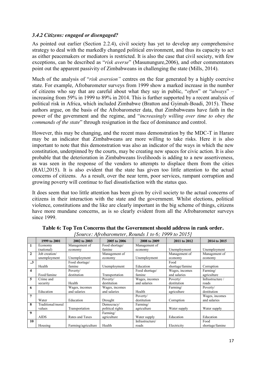#### *3.4.2 Citizens: engaged or disengaged?*

As pointed out earlier (Section 2.2.4), civil society has yet to develop any comprehensive strategy to deal with the markedly changed political environment, and thus its capacity to act as either peacemakers or mediators is restricted. It is also the case that civil society, with few exceptions, can be described as "*risk averse*" (Masunungure, 2006), and other commentators point out the apparent passivity of Zimbabweans in challenging the state (Mills, 2014).

Much of the analysis of "*risk aversion*" centres on the fear generated by a highly coercive state. For example, Afrobarometer surveys from 1999 show a marked increase in the number of citizens who say that are careful about what they say in public, "*often*" or "*always*" – increasing from 59% in 1999 to 89% in 2014. This is further supported by a recent analysis of political risk in Africa, which included Zimbabwe (Bratton and Gyimah-Boadi, 2015). These authors argue, on the basis of the Afrobarometer data, that Zimbabweans have faith in the power of the government and the regime, and "*increasingly willing over time to obey the commands of the state*" through resignation in the face of dominance and control.

However, this may be changing, and the recent mass demonstration by the MDC-T in Harare may be an indicator that Zimbabweans are more willing to take risks. Here it is also important to note that this demonstration was also an indicator of the ways in which the new constitution, underpinned by the courts, may be creating new spaces for civic action. It is also probable that the deterioration in Zimbabweans livelihoods is adding to a new assertiveness, as was seen in the response of the vendors to attempts to displace them from the cities (RAU,2015). It is also evident that the state has given too little attention to the actual concerns of citizens. As a result, over the near term, poor services, rampant corruption and growing poverty will continue to fuel dissatisfaction with the status quo.

It does seem that too little attention has been given by civil society to the actual concerns of citizens in their interaction with the state and the government. Whilst elections, political violence, constitutions and the like are clearly important in the big scheme of things, citizens have more mundane concerns, as is so clearly evident from all the Afrobarometer surveys since 1999.

|                     | 1999 to 2001      | 2002 to 2003        | 2005 to 2006     | 2008 to 2009    | 2011 to 2012    | 2014 to 2015     |
|---------------------|-------------------|---------------------|------------------|-----------------|-----------------|------------------|
| 1                   | Economy           | Management of       | Food shortage/   | Management of   |                 |                  |
|                     | (national)        | economy             | famine           | economy         | Unemployment    | Unemployment     |
| $\mathbf{2}$        | Job creation/     |                     | Management of    |                 | Management of   | Management of    |
|                     | unemployment      | Unemployment        | economy          | Unemployment    | economy         | economy          |
| $\cdot \cdot \cdot$ |                   | Food shortage/      |                  |                 | Food            |                  |
|                     | Health            | famine              | Unemployment     | Education       | shortage/famine | Corruption       |
| $\overline{\bf{4}}$ |                   | Poverty/            |                  | Food shortage/  | Wages, incomes  | Farming/         |
|                     | Food/famine       | destitution         | Transportation   | famine          | and salaries    | agriculture      |
| 5                   | Crime and         |                     | Poverty/         | Wages, incomes  | Poverty/        | Infrastructure / |
|                     | security          | Health              | destitution      | and salaries    | destitution     | roads            |
| 6                   |                   | Wages, incomes      | Wages, incomes   |                 | Farming/        | Poverty/         |
|                     | Education         | and salaries        | and salaries     | Health          | agriculture     | destitution      |
| 7                   |                   |                     |                  | Poverty/        |                 | Wages, incomes   |
|                     | Water             | Education           | Drought          | destitution     | Corruption      | and salaries     |
| 8                   | Traditional/moral |                     | Democracy/       | Farming/        |                 |                  |
|                     | values            | Transportation      | political rights | agriculture     | Water supply    | Water supply     |
| 9                   |                   |                     | Farming/         |                 |                 |                  |
|                     | <b>AIDS</b>       | Rates and Taxes     | agriculture      | Water supply    | Education       | Education        |
| 10                  |                   |                     |                  | Infrastructure/ |                 | Food             |
|                     | Housing           | Farming/agriculture | Health           | roads           | Electricity     | shortage/famine  |

**Table 6: Top Ten Concerns that the Government should address in rank order.** *[Source: Afrobarometer, Rounds 1 to 6; 1999 to 2015]*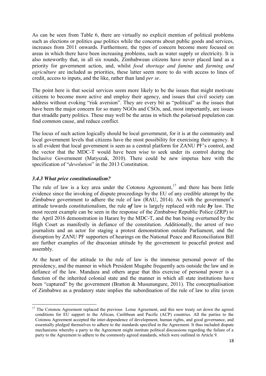As can be seen from Table 6, there are virtually no explicit mention of political problems such as elections or politics *qua* politics while the concerns about public goods and services, increases from 2011 onwards. Furthermore, the types of concern become more focused on areas in which there have been increasing problems, such as water supply or electricity. It is also noteworthy that, in all six rounds, Zimbabwean citizens have never placed land as a priority for government action, and, whilst *food shortage and famine* and *farming and agriculture* are included as priorities, these latter seem more to do with access to lines of credit, access to inputs, and the like, rather than land *per se.*

The point here is that social services seem more likely to be the issues that might motivate citizens to become more active and employ their agency, and issues that civil society can address without evoking "risk aversion". They are every bit as "political" as the issues that have been the major concern for so many NGOs and CSOs, and, most importantly, are issues that straddle party politics. These may well be the areas in which the polarised population can find common cause, and reduce conflict.

The locus of such action logically should be local government, for it is at the community and local government levels that citizens have the most possibility for exercising their agency. It is all evident that local government is seen as a central platform for ZANU PF's control, and the vector that the MDC-T would have been wise to seek under its control during the Inclusive Government (Matyszak, 2010). There could be new impetus here with the specification of "*devolution*" in the 2013 Constitution.

#### *3.4.3 What price constitutionalism?*

The rule of law is a key area under the Cotonou Agreement,<sup>17</sup> and there has been little evidence since the invoking of dispute proceedings by the EU of any credible attempt by the Zimbabwe government to adhere the rule of law (RAU, 2014). As with the government's attitude towards constitutionalism, the rule *of* law is largely replaced with rule *by* law. The most recent example can be seen in the response of the Zimbabwe Republic Police (ZRP) to the April 2016 demonstration in Harare by the MDC-T, and the ban being overturned by the High Court as manifestly in defiance of the constitution. Additionally, the arrest of two journalists and an actor for staging a protest demonstration outside Parliament, and the disruption by ZANU PF supporters of hearings on the National Peace and Reconciliation Bill are further examples of the draconian attitude by the government to peaceful protest and assembly.

At the heart of the attitude to the rule of law is the immense personal power of the presidency, and the manner in which President Mugabe frequently acts outside the law and in defiance of the law. Mandaza and others argue that this exercise of personal power is a function of the inherited colonial state and the manner in which all state institutions have been "captured" by the government (Bratton  $\&$  Musunungure, 2011). The conceptualisation of Zimbabwe as a predatory state implies the subordination of the rule of law to elite (even

<sup>&</sup>lt;sup>17</sup> The Cotonou Agreement replaced the previous Lome Agreement, and this new treaty set down the agreed conditions for EU support to the African, Caribbean and Pacific (ACP) countries. All the parties to the Cotonou Agreement accepted the inter-dependence of development, human rights, and good governance, and essentially pledged themselves to adhere to the standards specified in the Agreement. It thus included dispute mechanisms whereby a party to the Agreement might institute political discussions regarding the failure of a party to the Agreement to adhere to the commonly agreed standards, which were outlined in Article 9.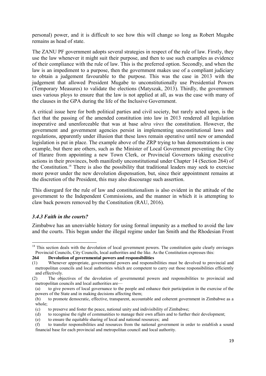personal) power, and it is difficult to see how this will change so long as Robert Mugabe remains as head of state.

The ZANU PF government adopts several strategies in respect of the rule of law. Firstly, they use the law whenever it might suit their purpose, and then to use such examples as evidence of their compliance with the rule of law. This is the preferred option. Secondly, and when the law is an impediment to a purpose, then the government makes use of a compliant judiciary to obtain a judgement favourable to the purpose. This was the case in 2013 with the judgement that allowed President Mugabe to unconstitutionally use Presidential Powers (Temporary Measures) to validate the elections (Matyszak, 2013). Thirdly, the government uses various ploys to ensure that the law is not applied at all, as was the case with many of the clauses in the GPA during the life of the Inclusive Government.

A critical issue here for both political parties and civil society, but rarely acted upon, is the fact that the passing of the amended constitution into law in 2013 rendered all legislation inoperative and unenforceable that was at base *ultra vires* the constitution. However, the government and government agencies persist in implementing unconstitutional laws and regulations, apparently under illusion that these laws remain operative until new or amended legislation is put in place. The example above of the ZRP trying to ban demonstrations is one example, but there are others, such as the Minister of Local Government preventing the City of Harare from appointing a new Town Clerk, or Provincial Governors taking executive actions in their provinces, both manifestly unconstitutional under Chapter 14 (Section 264) of the Constitution.18 There is also the possibility that traditional leaders may seek to exercise more power under the new devolution dispensation, but, since their appointment remains at the discretion of the President, this may also discourage such assertion.

This disregard for the rule of law and constitutionalism is also evident in the attitude of the government to the Independent Commissions, and the manner in which it is attempting to claw back powers removed by the Constitution (RAU, 2016).

#### *3.4.3 Faith in the courts?*

Zimbabwe has an unenviable history for using formal impunity as a method to avoid the law and the courts. This began under the illegal regime under Ian Smith and the Rhodesian Front

<sup>&</sup>lt;sup>18</sup> This section deals with the devolution of local government powers. The constitution quite clearly envisages Provincial Councils, City Councils, local authorities and the like. As the Constitution expresses this:

**<sup>264</sup> Devolution of governmental powers and responsibilities**

<sup>(1)</sup> Whenever appropriate, governmental powers and responsibilities must be devolved to provincial and metropolitan councils and local authorities which are competent to carry out those responsibilities efficiently and effectively.

<sup>(2)</sup> The objectives of the devolution of governmental powers and responsibilities to provincial and metropolitan councils and local authorities are—

<sup>(</sup>a) to give powers of local governance to the people and enhance their participation in the exercise of the powers of the State and in making decisions affecting them;

<sup>(</sup>b) to promote democratic, effective, transparent, accountable and coherent government in Zimbabwe as a whole;

<sup>(</sup>c) to preserve and foster the peace, national unity and indivisibility of Zimbabwe;

<sup>(</sup>d) to recognise the right of communities to manage their own affairs and to further their development;

<sup>(</sup>e) to ensure the equitable sharing of local and national resources; and

<sup>(</sup>f) to transfer responsibilities and resources from the national government in order to establish a sound financial base for each provincial and metropolitan council and local authority.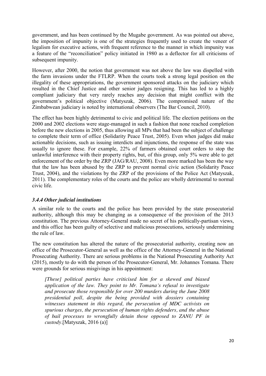government, and has been continued by the Mugabe government. As was pointed out above, the imposition of impunity is one of the strategies frequently used to create the veneer of legalism for executive actions, with frequent reference to the manner in which impunity was a feature of the "reconciliation" policy initiated in 1980 as a deflector for all criticisms of subsequent impunity.

However, after 2000, the notion that government was not above the law was dispelled with the farm invasions under the FTLRP. When the courts took a strong legal position on the illegality of these appropriations, the government sponsored attacks on the judiciary which resulted in the Chief Justice and other senior judges resigning. This has led to a highly compliant judiciary that very rarely reaches any decision that might conflict with the government's political objective (Matyszak, 2006). The compromised nature of the Zimbabwean judiciary is noted by international observers (The Bar Council, 2010).

The effect has been highly detrimental to civic and political life. The election petitions on the 2000 and 2002 elections were stage-managed in such a fashion that none reached completion before the new elections in 2005, thus allowing all MPs that had been the subject of challenge to complete their term of office (Solidarity Peace Trust, 2005). Even when judges did make actionable decisions, such as issuing interdicts and injunctions, the response of the state was usually to ignore these. For example, 22% of farmers obtained court orders to stop the unlawful interference with their property rights, but, of this group, only 5% were able to get enforcement of the order by the ZRP (JAG/RAU, 2008). Even more marked has been the way that the law has been abused by the ZRP to prevent normal civic action (Solidarity Peace Trust, 2004), and the violations by the ZRP of the provisions of the Police Act (Matyszak, 2011). The complementary roles of the courts and the police are wholly detrimental to normal civic life.

#### *3.4.4 Other judicial institutions*

A similar role to the courts and the police has been provided by the state prosecutorial authority, although this may be changing as a consequence of the provision of the 2013 constitution. The previous Attorney-General made no secret of his politically-partisan views, and this office has been guilty of selective and malicious prosecutions, seriously undermining the rule of law.

The new constitution has altered the nature of the prosecutorial authority, creating now an office of the Prosecutor-General as well as the office of the Attorney-General in the National Prosecuting Authority. There are serious problems in the National Prosecuting Authority Act (2015), mostly to do with the person of the Prosecutor-General, Mr. Johannes Tomana. There were grounds for serious misgivings in his appointment:

*[These] political parties have criticised him for a skewed and biased application of the law. They point to Mr. Tomana‗s refusal to investigate and prosecute those responsible for over 200 murders during the June 2008 presidential poll, despite the being provided with dossiers containing witnesses statement in this regard, the persecution of MDC activists on spurious charges, the persecution of human rights defenders, and the abuse of bail processes to wrongfully detain those opposed to ZANU PF in custody.*[Matyszak, 2016 (a)]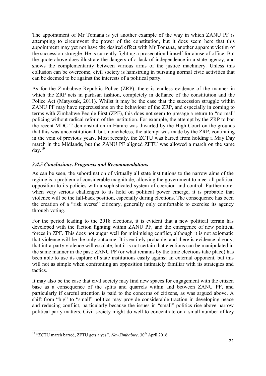The appointment of Mr Tomana is yet another example of the way in which ZANU PF is attempting to circumvent the power of the constitution, but it does seem here that this appointment may yet not have the desired effect with Mr Tomana, another apparent victim of the succession struggle. He is currently fighting a prosecution himself for abuse of office. But the quote above does illustrate the dangers of a lack of independence in a state agency, and shows the complementarity between various arms of the justice machinery. Unless this collusion can be overcome, civil society is hamstrung in pursuing normal civic activities that can be deemed to be against the interests of a political party.

As for the Zimbabwe Republic Police (ZRP), there is endless evidence of the manner in which the ZRP acts in partisan fashion, completely in defiance of the constitution and the Police Act (Matyszak, 2011). Whilst it may be the case that the succession struggle within ZANU PF may have repercussions on the behaviour of the ZRP, and especially in coming to terms with Zimbabwe People First (ZPF), this does not seem to presage a return to "normal" policing without radical reform of the institution. For example, the attempt by the ZRP to ban the recent MDC-T demonstration in Harare was thwarted by the High Court on the grounds that this was unconstitutional, but, nonetheless, the attempt was made by the ZRP, continuing in the vein of previous years. Most recently, the ZCTU was barred from holding a May Day march in the Midlands, but the ZANU PF aligned ZFTU was allowed a march on the same  $\text{dav.}^{19}$ 

#### *3.4.5 Conclusions. Prognosis and Recommendations*

As can be seen, the subordination of virtually all state institutions to the narrow aims of the regime is a problem of considerable magnitude, allowing the government to meet all political opposition to its policies with a sophisticated system of coercion and control. Furthermore, when very serious challenges to its hold on political power emerge, it is probable that violence will be the fall-back position, especially during elections. The consequence has been the creation of a "risk averse" citizenry, generally only comfortable to exercise its agency through voting.

For the period leading to the 2018 elections, it is evident that a new political terrain has developed with the faction fighting within ZANU PF, and the emergence of new political forces in ZPF. This does not augur well for minimising conflict, although it is not axiomatic that violence will be the only outcome. It is entirely probable, and there is evidence already, that intra-party violence will escalate, but it is not certain that elections can be manipulated in the same manner in the past: ZANU PF (or what remains by the time elections take place) has been able to use its capture of state institutions easily against an external opponent, but this will not as simple when confronting an opposition intimately familiar with its strategies and tactics.

It may also be the case that civil society may find new spaces for engagement with the citizen base as a consequence of the splits and quarrels within and between ZANU PF, and particularly if careful attention is paid to the concerns of citizens, as was argued above. A shift from "big" to "small" politics may provide considerable traction in developing peace and reducing conflict, particularly because the issues in "small" politics rise above narrow political party matters. Civil society might do well to concentrate on a small number of key

<sup>&</sup>lt;sup>19</sup> "ZCTU march barred, ZFTU gets a yes", *NewZimbabwe*, 30<sup>th</sup> April 2016.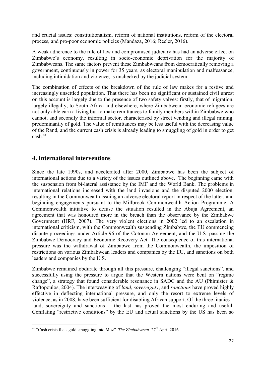and crucial issues: constitutionalism, reform of national institutions, reform of the electoral process, and pro-poor economic policies (Mandaza, 2016; Reeler, 2016).

A weak adherence to the rule of law and compromised judiciary has had an adverse effect on Zimbabwe's economy, resulting in socio-economic deprivation for the majority of Zimbabweans. The same factors prevent these Zimbabweans from democratically removing a government, continuously in power for 35 years, as electoral manipulation and malfeasance, including intimidation and violence, is unchecked by the judicial system.

The combination of effects of the breakdown of the rule of law makes for a restive and increasingly unsettled population. That there has been no significant or sustained civil unrest on this account is largely due to the presence of two safety valves: firstly, that of migration, largely illegally, to South Africa and elsewhere, where Zimbabwean economic refugees are not only able earn a living but to make remittances to family members within Zimbabwe who cannot, and secondly the informal sector, characterised by street vending and illegal mining, predominantly of gold. The value of remittances may be less useful with the decreasing value of the Rand, and the current cash crisis is already leading to smuggling of gold in order to get cash.20

# **4. International interventions**

Since the late 1990s, and accelerated after 2000, Zimbabwe has been the subject of international actions due to a variety of the issues outlined above. The beginning came with the suspension from bi-lateral assistance by the IMF and the World Bank. The problems in international relations increased with the land invasions and the disputed 2000 election, resulting in the Commonwealth issuing an adverse electoral report in respect of the latter, and beginning engagements pursuant to the Millbrook Commonwealth Action Programme. A Commonwealth initiative to defuse the situation resulted in the Abuja Agreement, an agreement that was honoured more in the breach than the observance by the Zimbabwe Government (HRF, 2007). The very violent elections in 2002 led to an escalation in international criticism, with the Commonwealth suspending Zimbabwe, the EU commencing dispute proceedings under Article 96 of the Cotonou Agreement, and the U.S. passing the Zimbabwe Democracy and Economic Recovery Act. The consequence of this international pressure was the withdrawal of Zimbabwe from the Commonwealth, the imposition of restrictions on various Zimbabwean leaders and companies by the EU, and sanctions on both leaders and companies by the U.S.

Zimbabwe remained obdurate through all this pressure, challenging "illegal sanctions", and successfully using the pressure to argue that the Western nations were bent on "regime" change", a strategy that found considerable resonance in SADC and the AU (Phimister  $\&$ Raftopoulos, 2004). The interweaving of *land*, *sovereignty*, and *sanctions* have proved highly effective in deflecting international pressure, and only the resort to extreme levels of violence, as in 2008, have been sufficient for disabling African support. Of the three litanies – land, sovereignty and sanctions – the last has proved the most enduring and useful. Conflating "restrictive conditions" by the EU and actual sanctions by the US has been so

<sup>&</sup>lt;sup>20</sup> "Cash crisis fuels gold smuggling into Moz". *The Zimbabwean*.  $27<sup>th</sup>$  April 2016.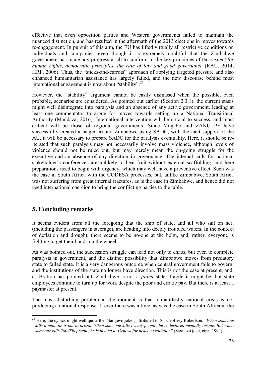effective that even opposition parties and Western governments failed to maintain the nuanced distinction, and has resulted in the aftermath of the 2013 elections in moves towards re-engagement. In pursuit of this aim, the EU has lifted virtually all restrictive conditions on individuals and companies, even though it is extremely doubtful that the Zimbabwe government has made any progress at all to conform to the key principles of the *respect for human rights, democratic principles, the rule of law and good governance* (RAU, 2014; HRF, 2006). Thus, the "sticks-and-carrots" approach of applying targeted pressure and also enhanced humanitarian assistance has largely failed, and the new discourse behind most international engagement is now about "stability".<sup>21</sup>

However, the "stability" argument cannot be easily dismissed when the possible, even probable, scenarios are considered. As pointed out earlier (Section 2.3.1), the current stasis might well disintegrate into paralysis and an absence of any active government, leading at least one commentator to argue for moves towards setting up a National Transitional Authority (Mandaza, 2016). International intervention will be crucial to success, and most critical will be those of regional governments. Since Mugabe and ZANU PF have successfully created a laager around Zimbabwe using SADC, with the tacit support of the AU, it will be necessary to prepare SADC for the paralysis eventuality. Here, it should be reiterated that such paralysis may not necessarily involve mass violence, although levels of violence should not be ruled out, but may merely mean the on-going struggle for the executive and an absence of any direction in governance. The internal calls for national stakeholder's conferences are unlikely to bear fruit without external scaffolding, and here preparations need to begin with urgency, which may well have a preventive effect. Such was the case in South Africa with the CODESA processes, but, unlike Zimbabwe, South Africa was not suffering from great internal fractures, as is the case in Zimbabwe, and hence did not need international coercion to bring the conflicting parties to the table.

# **5. Concluding remarks**

It seems evident from all the foregoing that the ship of state, and all who sail on her, (including the passengers in steerage), are heading into deeply troubled waters. In the context of deflation and drought, there seems to be no-one at the helm, and, rather, everyone is fighting to get their hands on the wheel.

As was pointed out, the succession struggle can lead not only to chaos, but even to complete paralysis in government, and the distinct possibility that Zimbabwe moves from predatory state to failed state. It is a very dangerous outcome when central government fails to govern, and the institutions of the state no longer have direction. This is not the case at present, and, as Bratton has pointed out, Zimbabwe is not a *failed* state: fragile it might be, but state employees continue to turn up for work despite the poor and erratic pay. But there is at least a paymaster at present.

The most disturbing problem at the moment is that a manifestly national crisis is not producing a national response. If ever there was a time, as was the case in South Africa in the

<sup>&</sup>lt;sup>21</sup> Here, the cynics might well quote the "Sarajevo joke", attributed to Sir Geoffrey Robertson. "When someone *kills a man, he is put in prison. When someone kills twenty people, he is declared mentally insane. But when someone kills 200,000 people, he is invited to Geneva for peace negotiation*‖ (Sarajevo joke, circa 1994).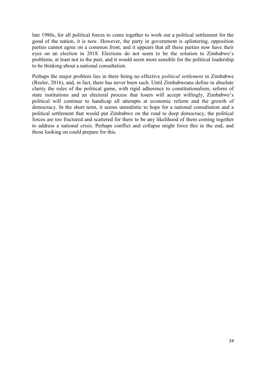late 1980s, for all political forces to come together to work out a political settlement for the good of the nation, it is now. However, the party in government is splintering, opposition parties cannot agree on a common front, and it appears that all these parties now have their eyes on an election in 2018. Elections do not seem to be the solution to Zimbabwe's problems, at least not in the past, and it would seem more sensible for the political leadership to be thinking about a national consultation.

Perhaps the major problem lies in there being no effective *political settlement* in Zimbabwe (Reeler, 2016), and, in fact, there has never been such. Until Zimbabweans define in absolute clarity the rules of the political game, with rigid adherence to constitutionalism, reform of state institutions and an electoral process that losers will accept willingly, Zimbabwe's political will continue to handicap all attempts at economic reform and the growth of democracy. In the short term, it seems unrealistic to hope for a national consultation and a political settlement that would put Zimbabwe on the road to deep democracy, the political forces are too fractured and scattered for there to be any likelihood of them coming together to address a national crisis. Perhaps conflict and collapse might force this in the end, and those looking on could prepare for this.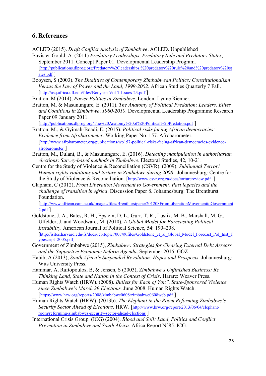#### **6. References**

ACLED (2015). *Draft Conflict Analysis of Zimbabwe.* ACLED. Unpublished

- Bavister-Gould, A. (2011) *Predatory Leaderships, Predatory Rule and Predatory States*, September 2011. Concept Paper 01. Developmental Leadership Program. [http://publications.dlprog.org/Predatory%20leaderships,%20predatory%20rule%20and%20predatory%20st ates.pdf ]
- Booysen, S (2003). *The Dualities of Contemporary Zimbabwean Politics: Constitutionalism Versus the Law of Power and the Land, 1999-2002*. African Studies Quarterly 7 Fall. [http://asq.africa.ufl.edu/files/Booysen-Vol-7-Issues-23.pdf]

Bratton. M (2014), *Power Politics in Zimbabwe*. London: Lynne Rienner.

Bratton, M. & Masunungure, E. (2011). *The Anatomy of Political Predation: Leaders, Elites and Coalitions in Zimbabwe, 1980-2010*. Developmental Leadership Programme Research Paper 09 January 2011. [http://publications.dlprog.org/The%20Anatomy%20of%20Political%20Predation.pdf ]

Bratton, M., & Gyimah-Boadi, E. (2015). *Political risks facing African democracies: Evidence from Afrobarometer*. Working Paper No. 157. Afrobarometer. [http://www.afrobarometer.org/publications/wp157-political-risks-facing-african-democracies-evidence-

afrobarometer ]

- Bratton, M., Dulani, B., & Masunungure, E. (2016). *Detecting manipulation in authoritarian elections: Survey-based methods in Zimbabwe.* Electoral Studies, 42, 10-21.
- Centre for the Study of Violence & Reconciliation (CSVR). (2009). *Subliminal Terror? Human rights violations and torture in Zimbabwe during 2008*. Johannesburg: Centre for the Study of Violence & Reconciliation. [http://www.csvr.org.za/docs/torturereview.pdf ]
- Clapham, C (2012), *From Liberation Movement to Government. Past legacies and the challenge of transition in Africa*. Discussion Paper 8. Johannesburg: The Brenthurst Foundation.

[http://www.african.cam.ac.uk/images/files/Brenthurstpaper201208FromLiberationMovementtoGovernment 2.pdf ]

- Goldstone, J. A., Bates, R. H., Epstein, D. L., Gurr, T. R., Lustik, M. B., Marshall, M. G., Ulfelder, J. and Woodward, M. (2010), *A Global Model for Forecasting Political Instability*. American Journal of Political Science, 54: 190–208. [http://isites.harvard.edu/fs/docs/icb.topic700749.files/Goldstone\_et\_al\_Global\_Model\_Forecast\_Pol\_Inst\_T ypescript\_2005.pdf]
- Government of Zimbabwe (2015), *Zimbabwe: Strategies for Clearing External Debt Arrears and the Supportive Economic Reform Agenda.* September 2015. GOZ
- Habib, A (2013), *South Africa's Suspended Revolution: Hopes and Prospects*. Johannesburg: Wits University Press.
- Hammar, A, Raftopoulos, B, & Jensen, S (2003), *Zimbabwe's Unfinished Business: Re Thinking Land, State and Nation in the Context of Crisis*. Harare: Weaver Press.
- Human Rights Watch (HRW). (2008). *Bullets for Each of You*". *State-Sponsored Violence since Zimbabwe's March 29 Elections.* June 2008. Human Rights Watch. [https://www.hrw.org/reports/2008/zimbabwe0608/zimbabwe0608web.pdf]
- Human Rights Watch (HRW). (2013b). *The Elephant in the Room Reforming Zimbabwe's Security Sector Ahead of Elections*. HRW. [http://www.hrw.org/report/2013/06/04/elephantroom/reforming-zimbabwes-security-sector-ahead-elections ]
- International Crisis Group. (ICG) (2004). *Blood and Soil: Land, Politics and Conflict Prevention in Zimbabwe and South Africa*. Africa Report N°85. ICG.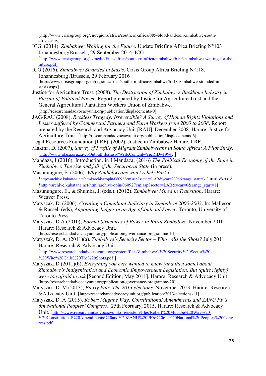[http://www.crisisgroup.org/en/regions/africa/southern-africa/085-blood-and-soil-zimbabwe-southafrica.aspx]

- ICG. (2014). *Zimbabwe: Waiting for the Future*. Update Briefing Africa Briefing N°103 Johannesburg/Brussels, 29 September 2014. ICG. [http://www.crisisgroup.org/~/media/Files/africa/southern-africa/zimbabwe/b103-zimbabwe-waiting-for-thefuture.pdf]
- ICG (2016), *Zimbabwe: Stranded in Stasis*. Crisis Group Africa Briefing N°118. Johannesburg /Brussels, 29 February 2016 [http://www.crisisgroup.org/en/regions/africa/southern-africa/zimbabwe/b118-zimbabwe-stranded-instasis.aspx]
- Justice for Agriculture Trust. (2008). *The Destruction of Zimbabwe's Backbone Industry in Pursuit of Political Power*. Report prepared by Justice for Agriculture Trust and the General Agricultural Plantation Workers Union of Zimbabwe. [http://researchandadvocacyunit.org/publication/displacements-0]
- JAG/RAU (2008), *Reckless Tragedy: Irreversible? A Survey of Human Rights Violations and Losses suffered by Commercial Farmers and Farm Workers from 2000 to 2008*. Report prepared by the Research and Advocacy Unit [RAU]. December 2008. Harare: Justice for Agriculture Trust. [http://researchandadvocacyunit.org/publication/displacements-6]

Legal Resources Foundation (LRF). (2002). Justice in Zimbabwe Harare, LRF.

- Makina, D. (2007), *Survey of Profile of Migrant Zimbabweans in South Africa: A Pilot Study*. [http://www.idasa.org.za/gbOutputFiles.asp?WriteContent=Y&RID=1994, ]
- Mandaza, I (2016), Introduction. in I Mandaza, (2016) *The Political Economy of the State in Zimbabwe: The rise and fall of the Securocrat State* (in press).
- Masunungure, E. (2006). *Why Zimbabweans won't rebel: Part 1 [*http://archive.kubatana.net/html/archive/opin/060922em.asp?sector=LAB&year=2006&range\_start=31] and *Part 2 [*http://archive.kubatana.net/html/archive/opin/060927em.asp?sector=LAB&year=0&range\_start=1]
- Masunungure, E., & Shumba, J. (eds.). (2012). *Zimbabwe: Mired in Transition*. Harare: Weaver Press.
- Matyszak, D. (2006). *Creating a Compliant Judiciary in Zimbabwe 2000-2003*. In: Malleson & Russell (eds), *Appointing Judges in an Age of Judicial Power*. Toronto, University of Toronto Press.
- Matyszak, D.A (2010), *Formal Structures of Power in Rural Zimbabwe*. November 2010. Harare: Research & Advocacy Unit.

[http://researchandadvocacyunit.org/publication/governance-programme-14] Matyszak, D. A. (2011)(a). *Zimbabwe's Security Sector – Who calls the Shots?* July 2011. Harare: Research & Advocacy Unit. [http://www.researchandadvocacyunit.org/system/files/Zimbabwe's%20Security%20Sector%20- %20Who%20Calls%20The%20Shots.pdf ]

- Matyszak, D (2011)(b), *Everything you ever wanted to know (and then some) about Zimbabwe's Indigenisation and Economic Empowerment Legislation, But (quite rightly) were too afraid to ask* [Second Edition, May 2011]. Harare: Research & Advocacy Unit. [http://researchandadvocacyunit.org/publication/governance-programme-20]
- Matyszak, D. M (2013), *Fairly Fair. The 2013 elections*. November 2013. Harare: Research &Advocacy Unit. [http://researchandadvocacyunit.org/publication/2013-elections-11]
- Matyszak, D. A (2015), *Robert Mugabe Way: Constitutional Amendments and ZANU PF's 6th National Peoples' Congress*. 25th February, 2015. Harare: Research & Advocacy Unit. ]http://www.researchandadvocacyunit.org/system/files/Robert%20Mugabe%20Way%20- %20Constitutional%20Amendments%20and%20ZANU%20PF's%206th%20National%20People's%20Cong ress.pdf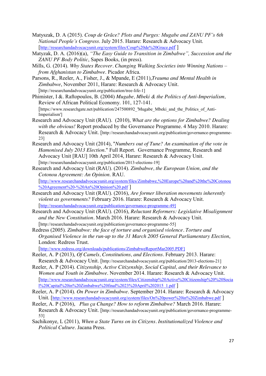- Matyszak, D. A (2015). *Coup de Grâce? Plots and Purges: Mugabe and ZANU PF's 6th National People's Congress*. July 2015. Harare: Research & Advocacy Unit. [http://researchandadvocacyunit.org/system/files/Coup%20de%20Grace.pdf ]
- Matyzak, D. A. (2016)(a), *"The Easy Guide to Transition in Zimbabwe"*, Succession and the *ZANU PF Body Politic*, Sapes Books, (in press).
- Mills, G. (2014). *Why States Recover. Changing Walking Societies into Winning Nations – from Afghanistan to Zimbabwe*. Picador Africa.
- Parsons, R., Reeler, A., Fisher, J., & Mpande, E (2011),*Trauma and Mental Health in Zimbabwe*, November 2011, Harare: Research & Advocacy Unit. [http://researchandadvocacyunit.org/publication/tree-life-1]
- Phimister, I &. Raftopoulos, B. (2004) *Mugabe, Mbeki & the Politics of Anti-Imperialism,*  Review of African Political Economy. 101, 127-141. [https://www.researchgate.net/publication/247500892 'Mugabe Mbeki and the Politics of Anti-Imperialism']
- Research and Advocacy Unit (RAU). (2010), *What are the options for Zimbabwe? Dealing with the obvious!* Report produced by the Governance Programme. 4 May 2010. Harare: Research & Advocacy Unit. [http://researchandadvocacyunit.org/publication/governance-programme-23]
- Research and Advocacy Unit (2014), "*Numbers out of Tune? An examination of the vote in Hamonised July 2013 Election*." Full Report. Governance Programme, Research and Advocacy Unit [RAU] 10th April 2014, Harare: Research & Advocacy Unit. [http://researchandadvocacyunit.org/publication/2013-elections-19]
- Research and Advocacy Unit (RAU). (2014). *Zimbabwe, the European Union, and the Cotonou Agreement: An Opinion*. RAU. [http://www.researchandadvocacyunit.org/system/files/Zimbabwe,%20Europe%20and%20the%20Cotonou %20Agreement%20-%20An%20Opinion%20.pdf ]
- Research and Advocacy Unit (RAU). (2016), *Are former liberation movements inherently violent as governments?* February 2016. Harare: Research & Advocacy Unit. [http://researchandadvocacyunit.org/publication/governance-programme-49]
- Research and Advocacy Unit (RAU). (2016), *Reluctant Reformers: Legislative Misalignment and the New Constitution.* March 2016. Harare: Research & Advocacy Unit. [http://researchandadvocacyunit.org/publication/governance-programme-55]
- Redress (2005). *Zimbabwe: the face of torture and organised violence. Torture and Organised Violence in the run-up to the 31 March 2005 General Parliamentary Election*, London: Redress Trust.

[http://www.redress.org/downloads/publications/ZimbabweReportMar2005.PDF]

- Reeler, A. P (2013), *Of Camels, Constitutions, and Elections.* February 2013. Harare: Research & Advocacy Unit. [http://researchandadvocacyunit.org/publication/2013-elections-21]
- Reeler, A. P (2014). *Citizenship, Active Citizenship, Social Capital, and their Relevance to Women and Youth in Zimbabwe*. November 2014. Harare: Research & Advocacy Unit. [http://www.researchandadvocacyunit.org/system/files/Citizenship%20Active%20Citizenship%20%20Socia l%20Capital%20in%20Zimbabwe%20final%2023%20April%202015\_1.pdf ]
- Reeler, A. P (2014). *On Power in Zimbabwe*. September 2014. Harare: Research & Advocacy Unit. [http://www.researchandadvocacyunit.org/system/files/On%20power%20in%20Zimbabwe.pdf ]
- Reeler, A. P (2016), *Plus ça Change? How to reform Zimbabwe?* March 2016. Harare: Research & Advocacy Unit. [http://researchandadvocacyunit.org/publication/governance-programme-53]
- Sachikonye, L (2011), *When a State Turns on its Citizens. Institutionalized Violence and Political Culture*. Jacana Press.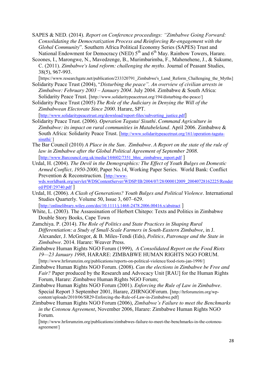- SAPES & NED. (2014). *Report on Conference proceedings: "Zimbabwe Going Forward: Consolidating the Democratization Process and Reinforcing Re-engagement with the Global Community*". Southern Africa Political Economy Series (SAPES) Trust and National Endowment for Democracy (NED)  $5<sup>th</sup>$  and  $6<sup>th</sup>$  May. Rainbow Towers, Harare.
- Scoones, I., Marongwe, N., Mavedzenge, B., Murimbarimba, F., Mahenehene, J., & Sukume, C. (2011). *Zimbabwe's land reform: challenging the myths*. Journal of Peasant Studies, 38(5), 967-993.

[https://www.researchgate.net/publication/233320791\_Zimbabwe's\_Land\_Reform\_Challenging\_the\_Myths] Solidarity Peace Trust (2004), "*Disturbing the peace". An overview of civilian arrests in Zimbabwe: February 2003 – January 2004*. July 2004. Zimbabwe & South Africa:

Solidarity Peace Trust. [http://www.solidaritypeacetrust.org/194/disturbing-the-peace/]

Solidarity Peace Trust (2005) *The Role of the Judiciary in Denying the Will of the Zimbabwean Electorate Since 2000*. Harare, SPT.

[http://www.solidaritypeacetrust.org/download/report-files/subverting\_justice.pdf] Solidarity Peace Trust. (2006). *Operation Taguta/ Sisuthi. Command Agriculture in Zimbabwe: its impact on rural communities in Matabeleland*. April 2006. Zimbabwe &

South Africa: Solidarity Peace Trust. [http://www.solidaritypeacetrust.org/161/operation-tagutasisuthi/ ]

- The Bar Council (2010) *A Place in the Sun. Zimbabwe. A Report on the state of the rule of law in Zimbabwe after the Global Political Agreement of September 2008*. [http://www.Barcouncil.org.uk/media/144602/7351\_bhrc\_zimbabwe\_report.pdf ]
- Urdal, H. (2004). *The Devil in the Demographics: The Effect of Youth Bulges on Domestic Armed Conflict, 1950-2000*, Paper No.14, Working Paper Series. World Bank: Conflict Prevention & Reconstruction. [http://wwwwds.worldbank.org/servlet/WDSContentServer/WDSP/IB/2004/07/28/000012009\_20040728162225/Render ed/PDF/29740.pdf ]
- Urdal, H. (2006). *A Clash of Generations? Youth Bulges and Political Violence*. International Studies Quarterly. Volume 50, Issue 3, 607–629. [http://onlinelibrary.wiley.com/doi/10.1111/j.1468-2478.2006.00416.x/abstract ]
- White, L. (2003). The Assassination of Herbert Chitepo: Texts and Politics in Zimbabwe Double Story Books, Cape Town
- Zamchiya. P. (2014). *The Role of Politics and State Practices in Shaping Rural Differentiation: a Study of Small-Scale Farmers in South-Eastern Zimbabwe*, in J. Alexander, J. McGregor, & B. Miles-Tendi (Eds), *Politics, Patronage and the State in Zimbabwe*. 2014. Harare: Weaver Press.
- Zimbabwe Human Rights NGO Forum (1999), *A Consolidated Report on the Food Riots 19—23 January 1998*, HARARE: ZIMBABWE HUMAN RIGHTS NGO FORUM. [http://www.hrforumzim.org/publications/reports-on-political-violence/food-riots-jan-1998/]
- Zimbabwe Human Rights NGO Forum. (2008). *Can the elections in Zimbabwe be Free and Fair?* Paper produced by the Research and Advocacy Unit [RAU] for the Human Rights Forum, Harare: Zimbabwe Human Rights NGO Forum;
- Zimbabwe Human Rights NGO Forum (2001). *Enforcing the Rule of Law in Zimbabwe*. Special Report 3 September 2001, Harare, ZHRNGOForum. [http://hrforumzim.org/wpcontent/uploads/2010/06/SR29-Enforcing-the-Rule-of-Law-in-Zimbabwe.pdf]
- Zimbabwe Human Rights NGO Forum (2006), *Zimbabwe's Failure to meet the Benchmarks in the Cotonou Agreement*, November 2006, Harare: Zimbabwe Human Rights NGO Forum.

[http://www.hrforumzim.org/publications/zimbabwes-failure-to-meet-the-benchmarks-in-the-cotonouagreement/]